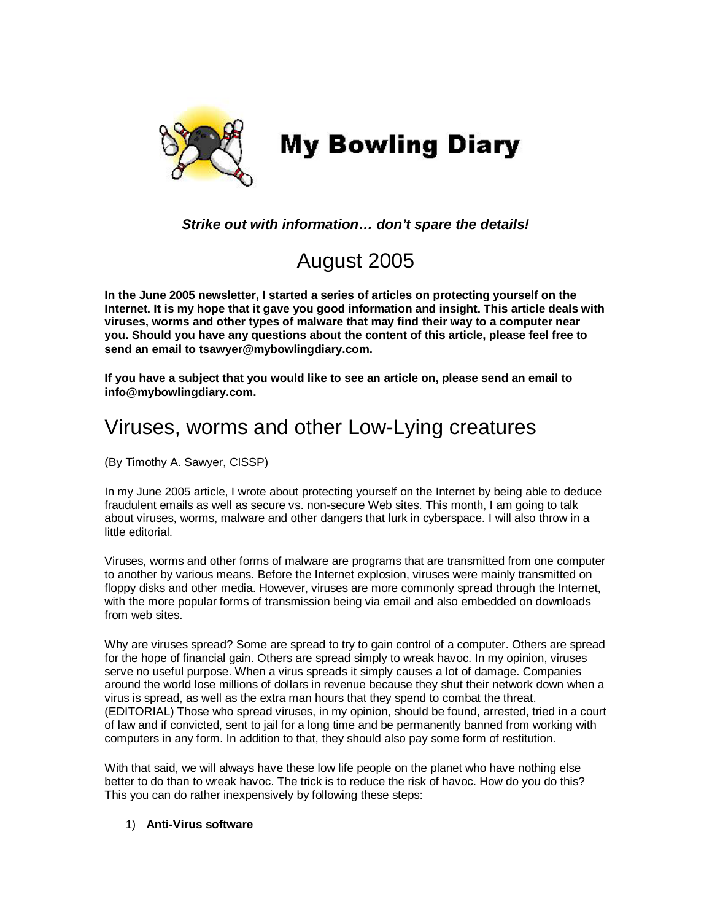

*Strike out with information… don't spare the details!* 

# August 2005

**In the June 2005 newsletter, I started a series of articles on protecting yourself on the Internet. It is my hope that it gave you good information and insight. This article deals with viruses, worms and other types of malware that may find their way to a computer near you. Should you have any questions about the content of this article, please feel free to send an email to tsawyer@mybowlingdiary.com.** 

**If you have a subject that you would like to see an article on, please send an email to info@mybowlingdiary.com.** 

# Viruses, worms and other Low-Lying creatures

(By Timothy A. Sawyer, CISSP)

In my June 2005 article, I wrote about protecting yourself on the Internet by being able to deduce fraudulent emails as well as secure vs. non-secure Web sites. This month, I am going to talk about viruses, worms, malware and other dangers that lurk in cyberspace. I will also throw in a little editorial.

Viruses, worms and other forms of malware are programs that are transmitted from one computer to another by various means. Before the Internet explosion, viruses were mainly transmitted on floppy disks and other media. However, viruses are more commonly spread through the Internet, with the more popular forms of transmission being via email and also embedded on downloads from web sites.

Why are viruses spread? Some are spread to try to gain control of a computer. Others are spread for the hope of financial gain. Others are spread simply to wreak havoc. In my opinion, viruses serve no useful purpose. When a virus spreads it simply causes a lot of damage. Companies around the world lose millions of dollars in revenue because they shut their network down when a virus is spread, as well as the extra man hours that they spend to combat the threat. (EDITORIAL) Those who spread viruses, in my opinion, should be found, arrested, tried in a court of law and if convicted, sent to jail for a long time and be permanently banned from working with computers in any form. In addition to that, they should also pay some form of restitution.

With that said, we will always have these low life people on the planet who have nothing else better to do than to wreak havoc. The trick is to reduce the risk of havoc. How do you do this? This you can do rather inexpensively by following these steps:

# 1) **Anti-Virus software**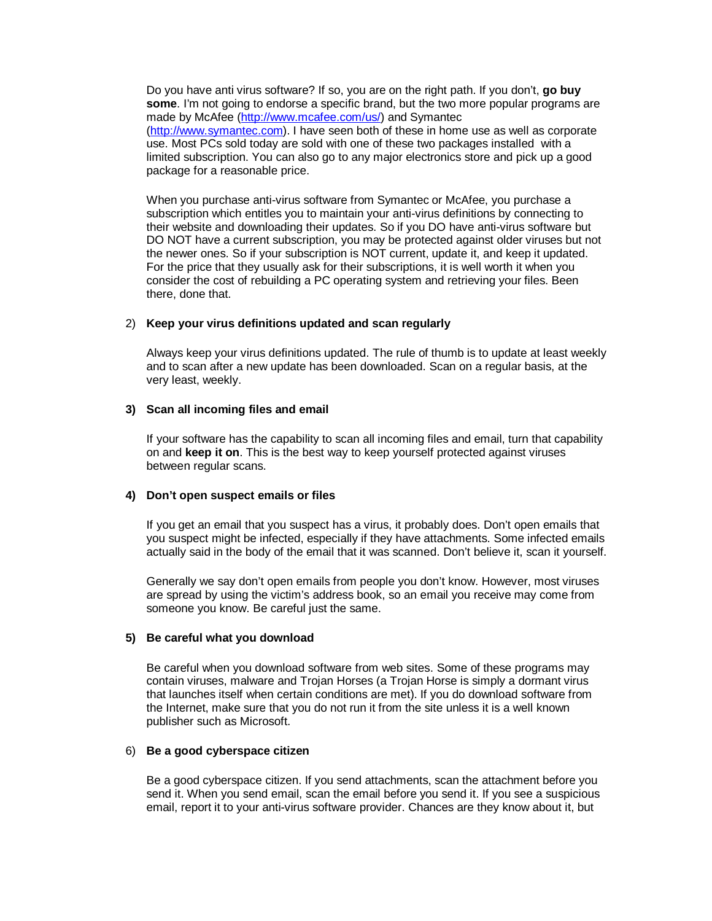Do you have anti virus software? If so, you are on the right path. If you don't, **go buy some**. I'm not going to endorse a specific brand, but the two more popular programs are made by McAfee (http://www.mcafee.com/us/) and Symantec (http://www.symantec.com). I have seen both of these in home use as well as corporate use. Most PCs sold today are sold with one of these two packages installed with a limited subscription. You can also go to any major electronics store and pick up a good package for a reasonable price.

When you purchase anti-virus software from Symantec or McAfee, you purchase a subscription which entitles you to maintain your anti-virus definitions by connecting to their website and downloading their updates. So if you DO have anti-virus software but DO NOT have a current subscription, you may be protected against older viruses but not the newer ones. So if your subscription is NOT current, update it, and keep it updated. For the price that they usually ask for their subscriptions, it is well worth it when you consider the cost of rebuilding a PC operating system and retrieving your files. Been there, done that.

## 2) **Keep your virus definitions updated and scan regularly**

Always keep your virus definitions updated. The rule of thumb is to update at least weekly and to scan after a new update has been downloaded. Scan on a regular basis, at the very least, weekly.

#### **3) Scan all incoming files and email**

If your software has the capability to scan all incoming files and email, turn that capability on and **keep it on**. This is the best way to keep yourself protected against viruses between regular scans.

## **4) Don't open suspect emails or files**

If you get an email that you suspect has a virus, it probably does. Don't open emails that you suspect might be infected, especially if they have attachments. Some infected emails actually said in the body of the email that it was scanned. Don't believe it, scan it yourself.

Generally we say don't open emails from people you don't know. However, most viruses are spread by using the victim's address book, so an email you receive may come from someone you know. Be careful just the same.

#### **5) Be careful what you download**

Be careful when you download software from web sites. Some of these programs may contain viruses, malware and Trojan Horses (a Trojan Horse is simply a dormant virus that launches itself when certain conditions are met). If you do download software from the Internet, make sure that you do not run it from the site unless it is a well known publisher such as Microsoft.

#### 6) **Be a good cyberspace citizen**

Be a good cyberspace citizen. If you send attachments, scan the attachment before you send it. When you send email, scan the email before you send it. If you see a suspicious email, report it to your anti-virus software provider. Chances are they know about it, but